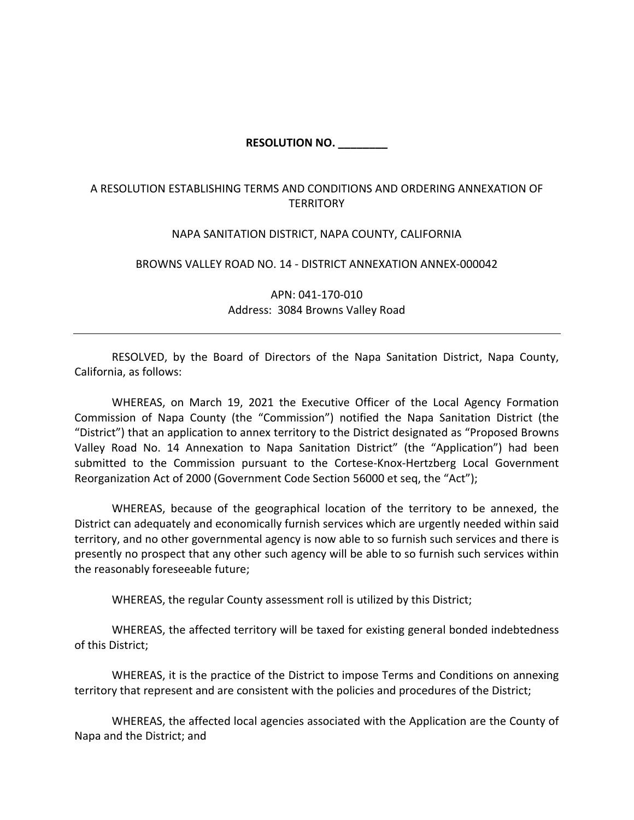## **RESOLUTION NO. \_\_\_\_\_\_\_\_**

## A RESOLUTION ESTABLISHING TERMS AND CONDITIONS AND ORDERING ANNEXATION OF **TERRITORY**

## NAPA SANITATION DISTRICT, NAPA COUNTY, CALIFORNIA

## BROWNS VALLEY ROAD NO. 14 ‐ DISTRICT ANNEXATION ANNEX‐000042

APN: 041‐170‐010 Address: 3084 Browns Valley Road

RESOLVED, by the Board of Directors of the Napa Sanitation District, Napa County, California, as follows:

WHEREAS, on March 19, 2021 the Executive Officer of the Local Agency Formation Commission of Napa County (the "Commission") notified the Napa Sanitation District (the "District") that an application to annex territory to the District designated as "Proposed Browns Valley Road No. 14 Annexation to Napa Sanitation District" (the "Application") had been submitted to the Commission pursuant to the Cortese-Knox-Hertzberg Local Government Reorganization Act of 2000 (Government Code Section 56000 et seq, the "Act");

WHEREAS, because of the geographical location of the territory to be annexed, the District can adequately and economically furnish services which are urgently needed within said territory, and no other governmental agency is now able to so furnish such services and there is presently no prospect that any other such agency will be able to so furnish such services within the reasonably foreseeable future;

WHEREAS, the regular County assessment roll is utilized by this District;

WHEREAS, the affected territory will be taxed for existing general bonded indebtedness of this District;

WHEREAS, it is the practice of the District to impose Terms and Conditions on annexing territory that represent and are consistent with the policies and procedures of the District;

WHEREAS, the affected local agencies associated with the Application are the County of Napa and the District; and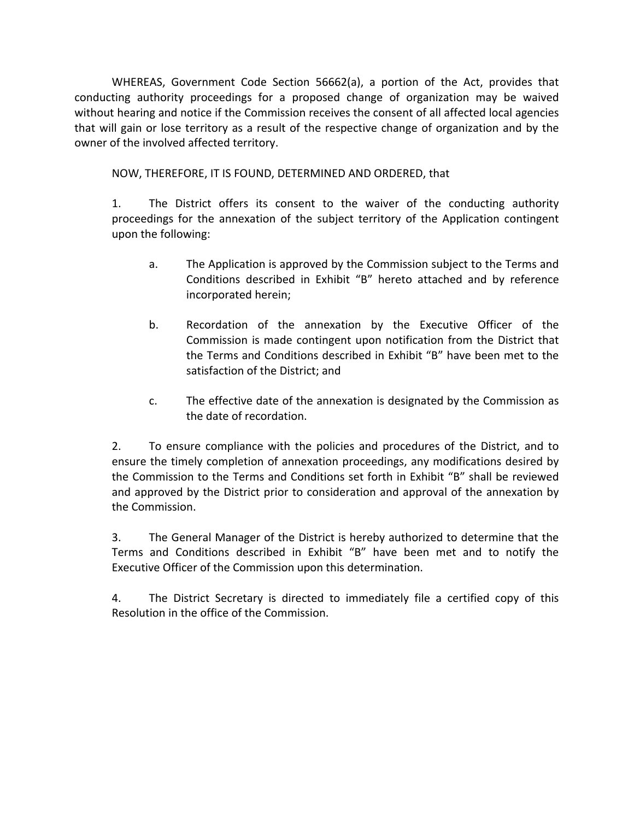WHEREAS, Government Code Section 56662(a), a portion of the Act, provides that conducting authority proceedings for a proposed change of organization may be waived without hearing and notice if the Commission receives the consent of all affected local agencies that will gain or lose territory as a result of the respective change of organization and by the owner of the involved affected territory.

NOW, THEREFORE, IT IS FOUND, DETERMINED AND ORDERED, that

1. The District offers its consent to the waiver of the conducting authority proceedings for the annexation of the subject territory of the Application contingent upon the following:

- a. The Application is approved by the Commission subject to the Terms and Conditions described in Exhibit "B" hereto attached and by reference incorporated herein;
- b. Recordation of the annexation by the Executive Officer of the Commission is made contingent upon notification from the District that the Terms and Conditions described in Exhibit "B" have been met to the satisfaction of the District; and
- c. The effective date of the annexation is designated by the Commission as the date of recordation.

2. To ensure compliance with the policies and procedures of the District, and to ensure the timely completion of annexation proceedings, any modifications desired by the Commission to the Terms and Conditions set forth in Exhibit "B" shall be reviewed and approved by the District prior to consideration and approval of the annexation by the Commission.

3. The General Manager of the District is hereby authorized to determine that the Terms and Conditions described in Exhibit "B" have been met and to notify the Executive Officer of the Commission upon this determination.

4. The District Secretary is directed to immediately file a certified copy of this Resolution in the office of the Commission.